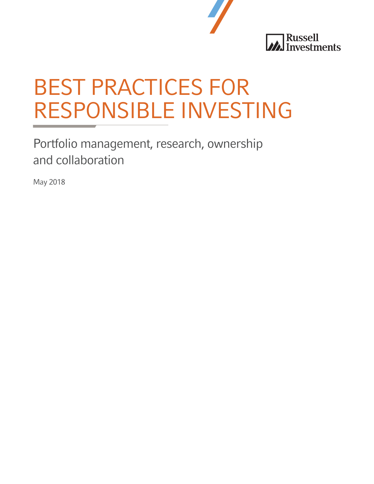

# BEST PRACTICES FOR RESPONSIBLE INVESTING

Portfolio management, research, ownership and collaboration

May 2018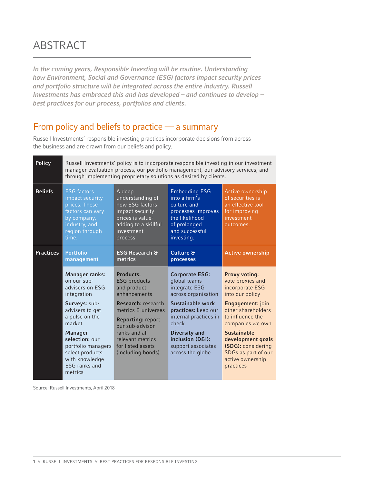## ABSTRACT

*In the coming years, Responsible Investing will be routine. Understanding how Environment, Social and Governance (ESG) factors impact security prices and portfolio structure will be integrated across the entire industry. Russell Investments has embraced this and has developed – and continues to develop – best practices for our process, portfolios and clients.*

## From policy and beliefs to practice — a summary

Russell Investments' responsible investing practices incorporate decisions from across the business and are drawn from our beliefs and policy.

| <b>Policy</b>    | Russell Investments' policy is to incorporate responsible investing in our investment<br>manager evaluation process, our portfolio management, our advisory services, and<br>through implementing proprietary solutions as desired by clients. |                                                                                                                                        |                                                                                                                                              |                                                                                                       |
|------------------|------------------------------------------------------------------------------------------------------------------------------------------------------------------------------------------------------------------------------------------------|----------------------------------------------------------------------------------------------------------------------------------------|----------------------------------------------------------------------------------------------------------------------------------------------|-------------------------------------------------------------------------------------------------------|
| <b>Beliefs</b>   | <b>ESG factors</b><br>impact security<br>prices. These<br>factors can vary<br>by company,<br>industry, and<br>region through<br>time.                                                                                                          | A deep<br>understanding of<br>how ESG factors<br>impact security<br>prices is value-<br>adding to a skillful<br>investment<br>process. | <b>Embedding ESG</b><br>into a firm's<br>culture and<br>processes improves<br>the likelihood<br>of prolonged<br>and successful<br>investing. | Active ownership<br>of securities is<br>an effective tool<br>for improving<br>investment<br>outcomes. |
| <b>Practices</b> | <b>Portfolio</b><br>management                                                                                                                                                                                                                 | <b>ESG Research &amp;</b><br>metrics                                                                                                   | <b>Culture &amp;</b><br>processes                                                                                                            | <b>Active ownership</b>                                                                               |
|                  |                                                                                                                                                                                                                                                |                                                                                                                                        |                                                                                                                                              |                                                                                                       |
|                  | <b>Manager ranks:</b><br>on our sub-<br>advisers on ESG<br>integration                                                                                                                                                                         | Products:<br><b>ESG</b> products<br>and product<br>enhancements                                                                        | <b>Corporate ESG:</b><br>global teams<br>integrate ESG<br>across organisation                                                                | <b>Proxy voting:</b><br>vote proxies and<br>incorporate ESG<br>into our policy                        |
|                  | Surveys: sub-<br>advisers to get<br>a pulse on the<br>market                                                                                                                                                                                   | <b>Research: research</b><br>metrics & universes<br><b>Reporting: report</b><br>our sub-advisor                                        | Sustainable work<br>practices: keep our<br>internal practices in<br>check                                                                    | Engagement: join<br>other shareholders<br>to influence the<br>companies we own                        |

Source: Russell Investments, April 2018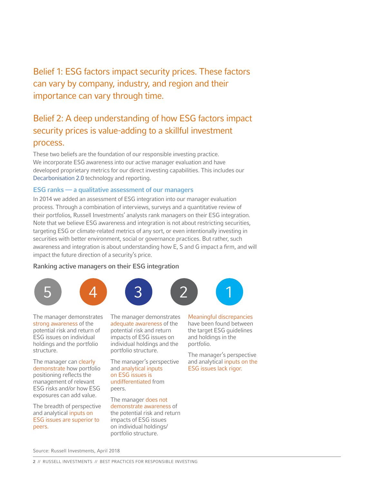Belief 1: ESG factors impact security prices. These factors can vary by company, industry, and region and their importance can vary through time.

## Belief 2: A deep understanding of how ESG factors impact security prices is value-adding to a skillful investment process.

These two beliefs are the foundation of our responsible investing practice. We incorporate ESG awareness into our active manager evaluation and have developed proprietary metrics for our direct investing capabilities. This includes our [Decarbonisation 2.0](https://russellinvestments.com/-/media/files/emea/insights/decarbonisation-2.pdf) technology and reporting.

### ESG ranks — a qualitative assessment of our managers

In 2014 we added an assessment of ESG integration into our manager evaluation process. Through a combination of interviews, surveys and a quantitative review of their portfolios, Russell Investments' analysts rank managers on their ESG integration. Note that we believe ESG awareness and integration is not about restricting securities, targeting ESG or climate-related metrics of any sort, or even intentionally investing in securities with better environment, social or governance practices. But rather, such awareness and integration is about understanding how E, S and G impact a firm, and will impact the future direction of a security's price.

### Ranking active managers on their ESG integration









The manager demonstrates strong awareness of the potential risk and return of ESG issues on individual holdings and the portfolio structure.

The manager can clearly demonstrate how portfolio positioning reflects the management of relevant ESG risks and/or how ESG exposures can add value.

The breadth of perspective and analytical inputs on ESG issues are superior to peers.

The manager demonstrates adequate awareness of the potential risk and return impacts of ESG issues on individual holdings and the portfolio structure.

The manager's perspective and analytical inputs on ESG issues is undifferentiated from peers.

The manager does not demonstrate awareness of the potential risk and return impacts of ESG issues on individual holdings/ portfolio structure.

Meaningful discrepancies have been found between the target ESG guidelines and holdings in the portfolio.

The manager's perspective and analytical inputs on the ESG issues lack rigor.

Source: Russell Investments, April 2018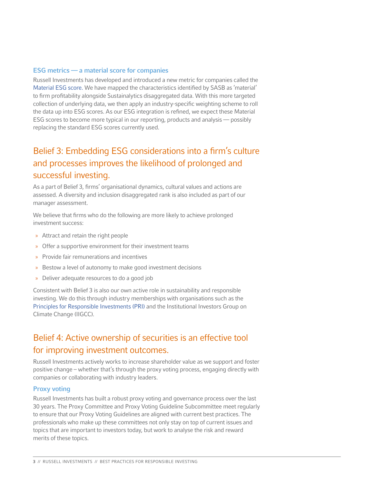### ESG metrics — a material score for companies

Russell Investments has developed and introduced a new metric for companies called the [Material ESG score.](https://russellinvestments.com/uk/insights/articles/materiality-matters) We have mapped the characteristics identified by SASB as 'material' to firm profitability alongside Sustainalytics disaggregated data. With this more targeted collection of underlying data, we then apply an industry-specific weighting scheme to roll the data up into ESG scores. As our ESG integration is refined, we expect these Material ESG scores to become more typical in our reporting, products and analysis — possibly replacing the standard ESG scores currently used.

## Belief 3: Embedding ESG considerations into a firm's culture and processes improves the likelihood of prolonged and successful investing.

As a part of Belief 3, firms' organisational dynamics, cultural values and actions are assessed. A diversity and inclusion disaggregated rank is also included as part of our manager assessment.

We believe that firms who do the following are more likely to achieve prolonged investment success:

- » Attract and retain the right people
- » Offer a supportive environment for their investment teams
- » Provide fair remunerations and incentives
- » Bestow a level of autonomy to make good investment decisions
- » Deliver adequate resources to do a good job

Consistent with Belief 3 is also our own active role in sustainability and responsible investing. We do this through industry memberships with organisations such as the [Principles for Responsible Investments \(PRI\)](https://russellinvestments.com/-/media/files/emea/legal/the-pri-assessment-explained.pdf?la=en-gb) and the Institutional Investors Group on Climate Change (IIGCC).

## Belief 4: Active ownership of securities is an effective tool for improving investment outcomes.

Russell Investments actively works to increase shareholder value as we support and foster positive change – whether that's through the proxy voting process, engaging directly with companies or collaborating with industry leaders.

#### Proxy voting

Russell Investments has built a robust proxy voting and governance process over the last 30 years. The Proxy Committee and Proxy Voting Guideline Subcommittee meet regularly to ensure that our Proxy Voting Guidelines are aligned with current best practices. The professionals who make up these committees not only stay on top of current issues and topics that are important to investors today, but work to analyse the risk and reward merits of these topics.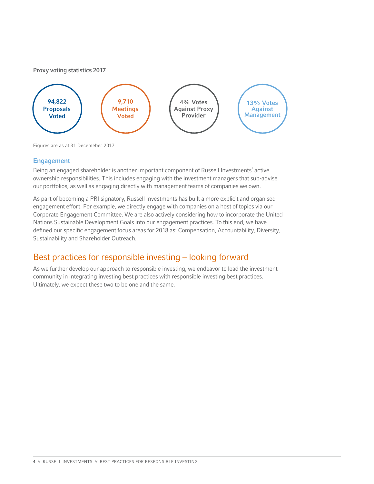#### Proxy voting statistics 2017



Figures are as at 31 Decemeber 2017

## Engagement

Being an engaged shareholder is another important component of Russell Investments' active ownership responsibilities. This includes engaging with the investment managers that sub-advise our portfolios, as well as engaging directly with management teams of companies we own.

As part of becoming a PRI signatory, Russell Investments has built a more explicit and organised engagement effort. For example, we directly engage with companies on a host of topics via our Corporate Engagement Committee. We are also actively considering how to incorporate the United Nations Sustainable Development Goals into our engagement practices. To this end, we have defined our specific engagement focus areas for 2018 as: Compensation, Accountability, Diversity, Sustainability and Shareholder Outreach.

## Best practices for responsible investing – looking forward

As we further develop our approach to responsible investing, we endeavor to lead the investment community in integrating investing best practices with responsible investing best practices. Ultimately, we expect these two to be one and the same.